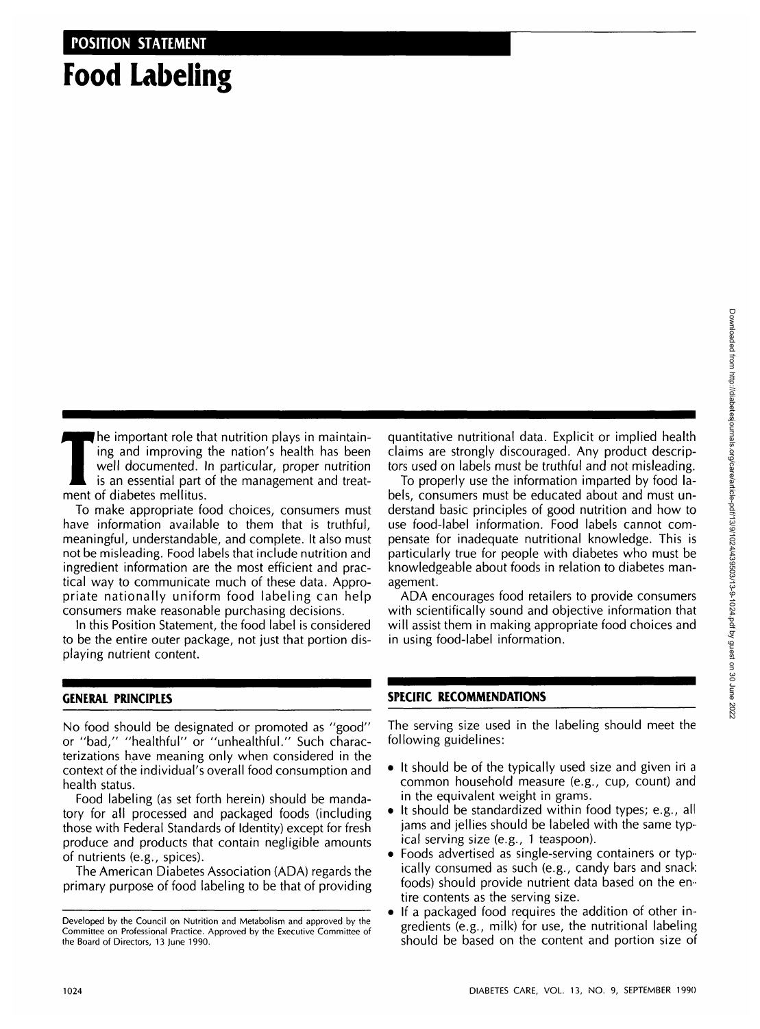## **Food Labeling**

The important role that nutrition plays in maintain-<br>ing and improving the nation's health has been<br>well documented. In particular, proper nutrition<br>is an essential part of the management and treat-<br>ment of diabetes mellit ing and improving the nation's health has been well documented. In particular, proper nutrition ment of diabetes mellitus.

To make appropriate food choices, consumers must have information available to them that is truthful, meaningful, understandable, and complete. It also must not be misleading. Food labels that include nutrition and ingredient information are the most efficient and practical way to communicate much of these data. Appropriate nationally uniform food labeling can help consumers make reasonable purchasing decisions.

In this Position Statement, the food label is considered to be the entire outer package, not just that portion displaying nutrient content.

## **GENERAL PRINCIPLES**

No food should be designated or promoted as "good" or "bad," "healthful" or "unhealthful." Such characterizations have meaning only when considered in the context of the individual's overall food consumption and health status.

Food labeling (as set forth herein) should be mandatory for all processed and packaged foods (including those with Federal Standards of Identity) except for fresh produce and products that contain negligible amounts of nutrients (e.g., spices).

The American Diabetes Association (ADA) regards the primary purpose of food labeling to be that of providing quantitative nutritional data. Explicit or implied health claims are strongly discouraged. Any product descriptors used on labels must be truthful and not misleading.

To properly use the information imparted by food labels, consumers must be educated about and must understand basic principles of good nutrition and how to use food-label information. Food labels cannot compensate for inadequate nutritional knowledge. This is particularly true for people with diabetes who must be knowledgeable about foods in relation to diabetes management.

ADA encourages food retailers to provide consumers with scientifically sound and objective information that will assist them in making appropriate food choices and in using food-label information.

## **SPECIFIC RECOMMENDATIONS**

The serving size used in the labeling should meet the following guidelines:

- It should be of the typically used size and given in a common household measure (e.g., cup, count) and in the equivalent weight in grams.
- It should be standardized within food types; e.g., all jams and jellies should be labeled with the same typical serving size (e.g., 1 teaspoon).
- Foods advertised as single-serving containers or typically consumed as such (e.g., candy bars and snack foods) should provide nutrient data based on the entire contents as the serving size.
- If a packaged food requires the addition of other ingredients (e.g., milk) for use, the nutritional labeling should be based on the content and portion size of

Developed by the Council on Nutrition and Metabolism and approved by the Committee on Professional Practice. Approved by the Executive Committee of the Board of Directors, 13 June 1990.